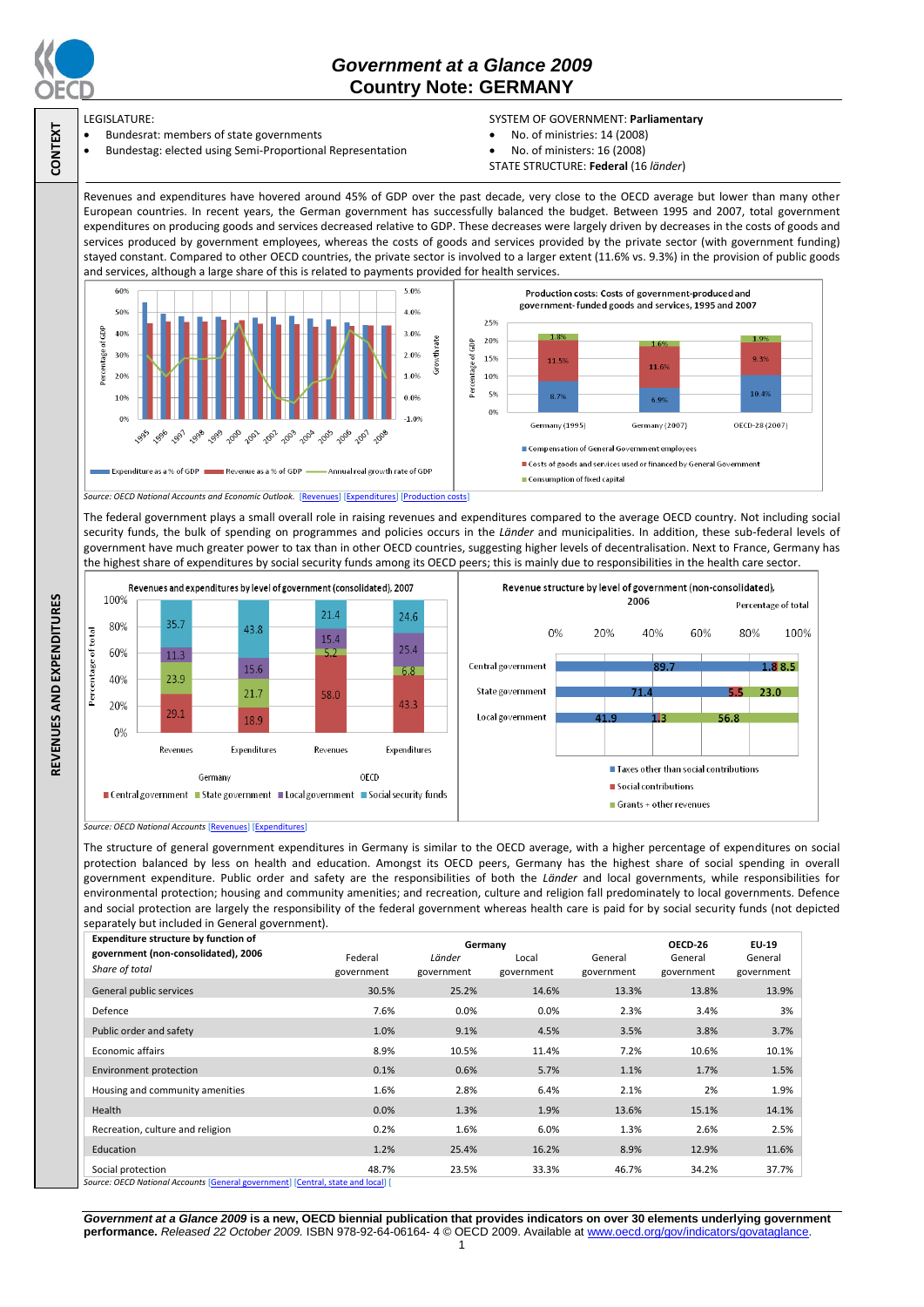

**CONTEXT**

**REVENUES AND EXPENDITURES**

REVENUES AND EXPENDITURES

## *Government at a Glance 2009*  **Country Note: GERMANY**

LEGISLATURE:

- Bundesrat: members of state governments
- Bundestag: elected using Semi-Proportional Representation
- SYSTEM OF GOVERNMENT: **Parliamentary**
- No. of ministries: 14 (2008)
- No. of ministers: 16 (2008)
- STATE STRUCTURE: **Federal** (16 *länder*)

Revenues and expenditures have hovered around 45% of GDP over the past decade, very close to the OECD average but lower than many other European countries. In recent years, the German government has successfully balanced the budget. Between 1995 and 2007, total government expenditures on producing goods and services decreased relative to GDP. These decreases were largely driven by decreases in the costs of goods and services produced by government employees, whereas the costs of goods and services provided by the private sector (with government funding) stayed constant. Compared to other OECD countries, the private sector is involved to a larger extent (11.6% vs. 9.3%) in the provision of public goods and services, although a large share of this is related to payments provided for health services.



The federal government plays a small overall role in raising revenues and expenditures compared to the average OECD country. Not including social security funds, the bulk of spending on programmes and policies occurs in the *Länder* and municipalities. In addition, these sub-federal levels of government have much greater power to tax than in other OECD countries, suggesting higher levels of decentralisation. Next to France, Germany has the highest share of expenditures by social security funds among its OECD peers; this is mainly due to responsibilities in the health care sector.





The structure of general government expenditures in Germany is similar to the OECD average, with a higher percentage of expenditures on social protection balanced by less on health and education. Amongst its OECD peers, Germany has the highest share of social spending in overall government expenditure. Public order and safety are the responsibilities of both the *Länder* and local governments, while responsibilities for environmental protection; housing and community amenities; and recreation, culture and religion fall predominately to local governments. Defence and social protection are largely the responsibility of the federal government whereas health care is paid for by social security funds (not depicted separately but included in General government).

| Expenditure structure by function of                                                                             | Germany    |            |            |            | OECD-26    | EU-19      |
|------------------------------------------------------------------------------------------------------------------|------------|------------|------------|------------|------------|------------|
| government (non-consolidated), 2006                                                                              | Federal    | Länder     | Local      | General    | General    | General    |
| Share of total                                                                                                   | government | government | government | government | government | government |
| General public services                                                                                          | 30.5%      | 25.2%      | 14.6%      | 13.3%      | 13.8%      | 13.9%      |
| Defence                                                                                                          | 7.6%       | 0.0%       | 0.0%       | 2.3%       | 3.4%       | 3%         |
| Public order and safety                                                                                          | 1.0%       | 9.1%       | 4.5%       | 3.5%       | 3.8%       | 3.7%       |
| <b>Economic affairs</b>                                                                                          | 8.9%       | 10.5%      | 11.4%      | 7.2%       | 10.6%      | 10.1%      |
| Environment protection                                                                                           | 0.1%       | 0.6%       | 5.7%       | 1.1%       | 1.7%       | 1.5%       |
| Housing and community amenities                                                                                  | 1.6%       | 2.8%       | 6.4%       | 2.1%       | 2%         | 1.9%       |
| Health                                                                                                           | 0.0%       | 1.3%       | 1.9%       | 13.6%      | 15.1%      | 14.1%      |
| Recreation, culture and religion                                                                                 | 0.2%       | 1.6%       | 6.0%       | 1.3%       | 2.6%       | 2.5%       |
| Education                                                                                                        | 1.2%       | 25.4%      | 16.2%      | 8.9%       | 12.9%      | 11.6%      |
| Social protection<br>concern OECD Mostere of Accessories (Occurrent concernsional Constantinopel and finish Bill | 48.7%      | 23.5%      | 33.3%      | 46.7%      | 34.2%      | 37.7%      |

*Source: OECD National Accounts* [\[General government\]](http://dx.doi.org/10.1787/723501646741) [\[Central, state and local\]](http://dx.doi.org/10.1787/723508524025) [

*Government at a Glance 2009* **is a new, OECD biennial publication that provides indicators on over 30 elements underlying government performance.** *Released 22 October 2009.* ISBN 978-92-64-06164- 4 © OECD 2009. Available at www.oecd.org/gov/indicators/govataglance.

*Source: OECD National Accounts* [\[Revenues\]](http://dx.doi.org/10.1787/723418413857) [\[Expenditures\]](http://dx.doi.org/10.1787/723508524025)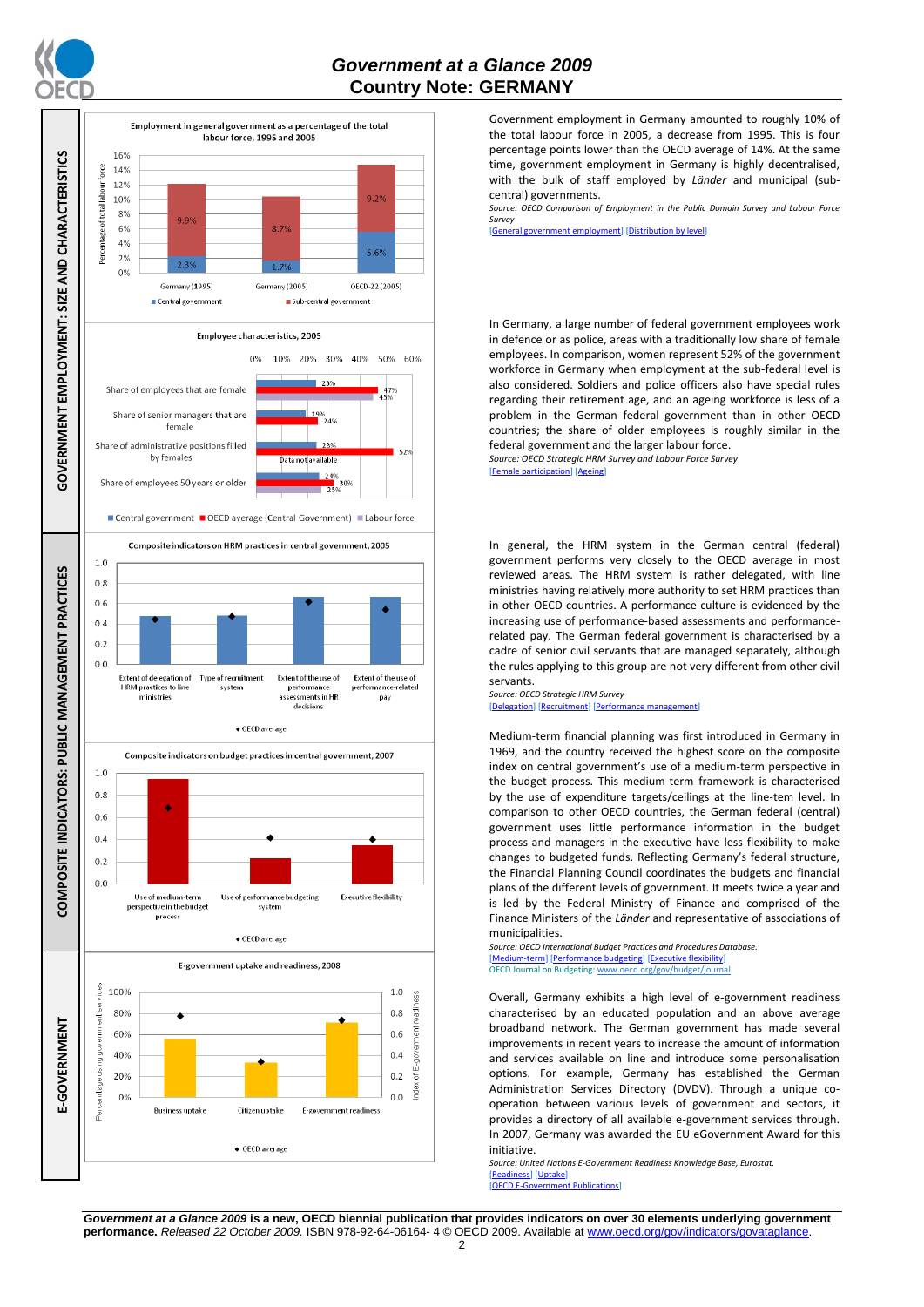



Government employment in Germany amounted to roughly 10% of the total labour force in 2005, a decrease from 1995. This is four percentage points lower than the OECD average of 14%. At the same time, government employment in Germany is highly decentralised, with the bulk of staff employed by *Länder* and municipal (subcentral) governments.

*Source: OECD Comparison of Employment in the Public Domain Survey and Labour Force Survey*

government employment] [\[Distribution by level\]](http://dx.doi.org/10.1787/723627140760)

In Germany, a large number of federal government employees work in defence or as police, areas with a traditionally low share of female employees. In comparison, women represent 52% of the government workforce in Germany when employment at the sub-federal level is also considered. Soldiers and police officers also have special rules regarding their retirement age, and an ageing workforce is less of a problem in the German federal government than in other OECD countries; the share of older employees is roughly similar in the federal government and the larger labour force. *Source: OECD Strategic HRM Survey and Labour Force Survey* 

[\[Female participation\]](http://dx.doi.org/10.1787/723642841533) [\[Ageing\]](http://dx.doi.org/10.1787/723656070327)

In general, the HRM system in the German central (federal) government performs very closely to the OECD average in most reviewed areas. The HRM system is rather delegated, with line ministries having relatively more authority to set HRM practices than in other OECD countries. A performance culture is evidenced by the increasing use of performance-based assessments and performancerelated pay. The German federal government is characterised by a cadre of senior civil servants that are managed separately, although the rules applying to this group are not very different from other civil servants.

*Source: OECD Strategic HRM Survey*  [\[Delegation\]](http://dx.doi.org/10.1787/723663744332) [\[Recruitment\]](http://dx.doi.org/10.1787/723668744361) [\[Performance management\]](http://dx.doi.org/10.1787/723750171710)

Medium-term financial planning was first introduced in Germany in 1969, and the country received the highest score on the composite index on central government's use of a medium-term perspective in the budget process. This medium-term framework is characterised by the use of expenditure targets/ceilings at the line-tem level. In comparison to other OECD countries, the German federal (central) government uses little performance information in the budget process and managers in the executive have less flexibility to make changes to budgeted funds. Reflecting Germany's federal structure, the Financial Planning Council coordinates the budgets and financial plans of the different levels of government. It meets twice a year and is led by the Federal Ministry of Finance and comprised of the Finance Ministers of the *Länder* and representative of associations of municipalities.

*Source: OECD International Budget Practices and Procedures Database.* [\[Medium-term\]](http://dx.doi.org/10.1787/723856770865) [\[Performance budgeting\]](http://dx.doi.org/10.1787/723863437686) [\[Executive flexibility\]](http://dx.doi.org/10.1787/723876713213) OECD Journal on Budgeting[: www.oecd.org/gov/budget/journal](http://www.oecd.org/gov/budget/journal)

Overall, Germany exhibits a high level of e-government readiness characterised by an educated population and an above average broadband network. The German government has made several improvements in recent years to increase the amount of information and services available on line and introduce some personalisation options. For example, Germany has established the German Administration Services Directory (DVDV). Through a unique cooperation between various levels of government and sectors, it provides a directory of all available e-government services through. In 2007, Germany was awarded the EU eGovernment Award for this initiative.

*Source: United Nations E-Government Readiness Knowledge Base, Eurostat.* [\[Readiness\]](http://dx.doi.org/10.1787/724248078408) [\[Uptake\]](http://dx.doi.org/10.1787/724264662272) [\[OECD E-Government Publications\]](http://www.oecd.org/document/40/0,3343,en_2649_34129_41342248_1_1_1_1,00.html)

*Government at a Glance 2009* **is a new, OECD biennial publication that provides indicators on over 30 elements underlying government performance.** *Released 22 October 2009.* ISBN 978-92-64-06164- 4 © OECD 2009. Available at www.oecd.org/gov/indicators/govataglance.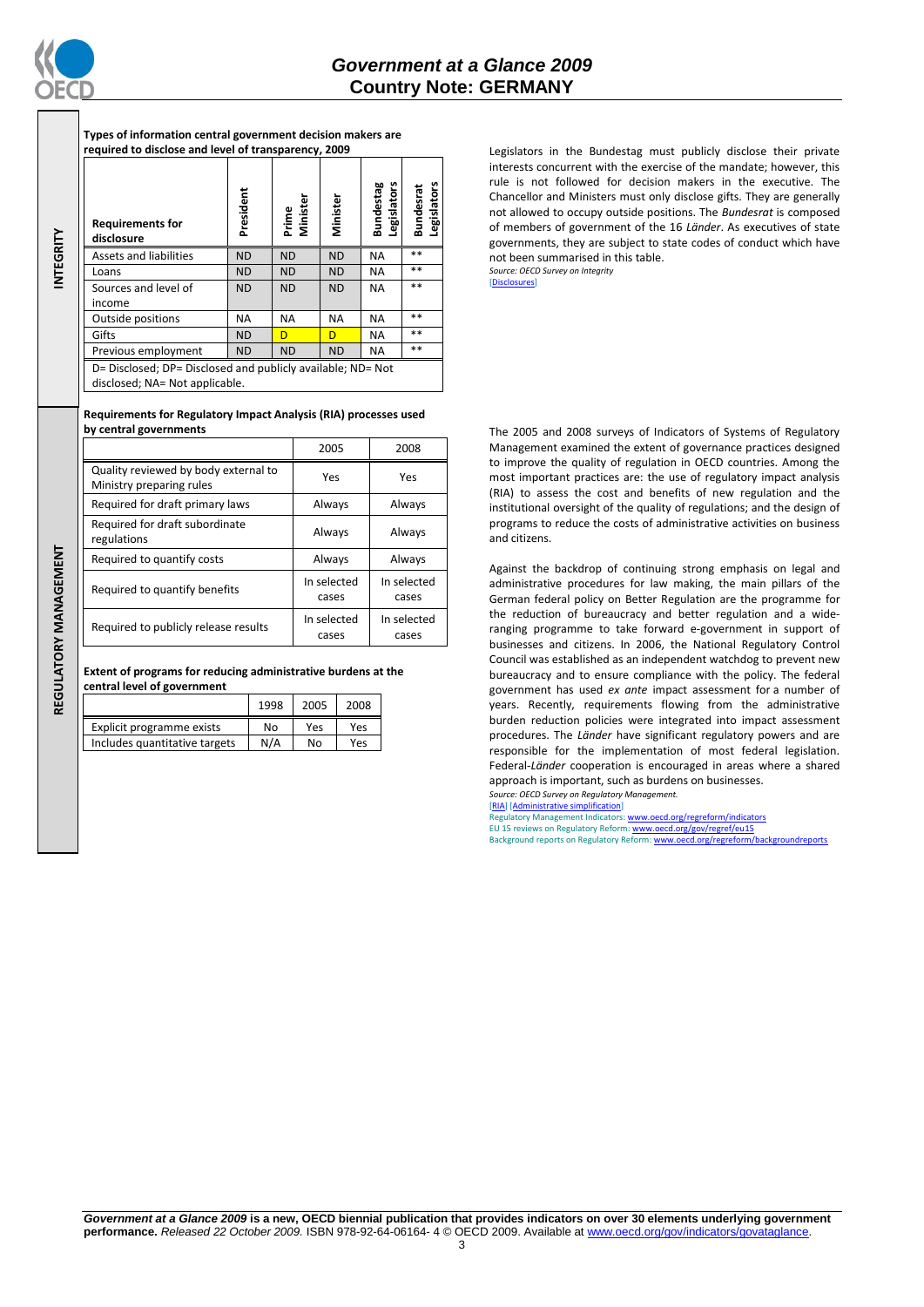

**INTEGRITY**

**Types of information central government decision makers are required to disclose and level of transparency, 2009**

| <b>Requirements for</b><br>disclosure                                                         | President | Prime<br>Minister | Minister  | Bundestag<br>Legislators | Legislators<br><b>Bundesrat</b> |
|-----------------------------------------------------------------------------------------------|-----------|-------------------|-----------|--------------------------|---------------------------------|
| <b>Assets and liabilities</b>                                                                 | <b>ND</b> | <b>ND</b>         | <b>ND</b> | <b>NA</b>                | $**$                            |
| Loans                                                                                         | <b>ND</b> | <b>ND</b>         | <b>ND</b> | <b>NA</b>                | $* *$                           |
| Sources and level of                                                                          | <b>ND</b> | <b>ND</b>         | <b>ND</b> | <b>NA</b>                | $* *$                           |
| income                                                                                        |           |                   |           |                          |                                 |
| Outside positions                                                                             | <b>NA</b> | <b>NA</b>         | <b>NA</b> | <b>NA</b>                | $* *$                           |
| Gifts                                                                                         | <b>ND</b> | D                 | D         | <b>NA</b>                | $* *$                           |
| Previous employment                                                                           | <b>ND</b> | <b>ND</b>         | <b>ND</b> | <b>NA</b>                | $**$                            |
| D= Disclosed; DP= Disclosed and publicly available; ND= Not<br>disclosed; NA= Not applicable. |           |                   |           |                          |                                 |

## **Requirements for Regulatory Impact Analysis (RIA) processes used by central governments**

|                                                                  | 2005                 | 2008                 |  |
|------------------------------------------------------------------|----------------------|----------------------|--|
| Quality reviewed by body external to<br>Ministry preparing rules | Yes<br>Yes           |                      |  |
| Required for draft primary laws                                  | Always               | Always               |  |
| Required for draft subordinate<br>regulations                    | Always               | Always               |  |
| Required to quantify costs                                       | Always               | Always               |  |
| Required to quantify benefits                                    | In selected<br>cases | In selected<br>cases |  |
| Required to publicly release results                             | In selected<br>cases | In selected<br>cases |  |

## **Extent of programs for reducing administrative burdens at the central level of government**

|                               | 1998 | 2005 | 2008 |
|-------------------------------|------|------|------|
| Explicit programme exists     | No   | Yes  | Yes  |
| Includes quantitative targets | N/A  | No   | Yes  |

Legislators in the Bundestag must publicly disclose their private interests concurrent with the exercise of the mandate; however, this rule is not followed for decision makers in the executive. The Chancellor and Ministers must only disclose gifts. They are generally not allowed to occupy outside positions. The *Bundesrat* is composed of members of government of the 16 *Länder*. As executives of state governments, they are subject to state codes of conduct which have not been summarised in this table. *Source: OECD Survey on Integrity*

[\[Disclosures\]](http://dx.doi.org/10.1787/724123642681)

The 2005 and 2008 surveys of Indicators of Systems of Regulatory Management examined the extent of governance practices designed to improve the quality of regulation in OECD countries. Among the most important practices are: the use of regulatory impact analysis (RIA) to assess the cost and benefits of new regulation and the institutional oversight of the quality of regulations; and the design of programs to reduce the costs of administrative activities on business and citizens.

Against the backdrop of continuing strong emphasis on legal and administrative procedures for law making, the main pillars of the German federal policy on Better Regulation are the programme for the reduction of bureaucracy and better regulation and a wideranging programme to take forward e-government in support of businesses and citizens. In 2006, the National Regulatory Control Council was established as an independent watchdog to prevent new bureaucracy and to ensure compliance with the policy. The federal government has used *ex ante* impact assessment for a number of years. Recently, requirements flowing from the administrative burden reduction policies were integrated into impact assessment procedures. The *Länder* have significant regulatory powers and are responsible for the implementation of most federal legislation. Federal-*Länder* cooperation is encouraged in areas where a shared approach is important, such as burdens on businesses. *Source: OECD Survey on Regulatory Management.*

[\[RIA\]](http://dx.doi.org/10.1787/724045144354) [\[Administrative simplification\]](http://dx.doi.org/10.1787/724058851054)

Regulatory Management Indicators[: www.oecd.org/regreform/indicators](http://www.oecd.org/regreform/indicators)<br>EU 15 reviews on Regulatory Reform[: www.oecd.org/gov/regref/eu15](http://www.oecd.org/gov/regref/eu15) Background reports on Regulatory Reform[: www.oecd.org/regreform/backgroundreports](http://www.oecd.org/regreform/backgroundreports)

REGULATORY MANAGEMENT **REGULATORY MANAGEMENT**